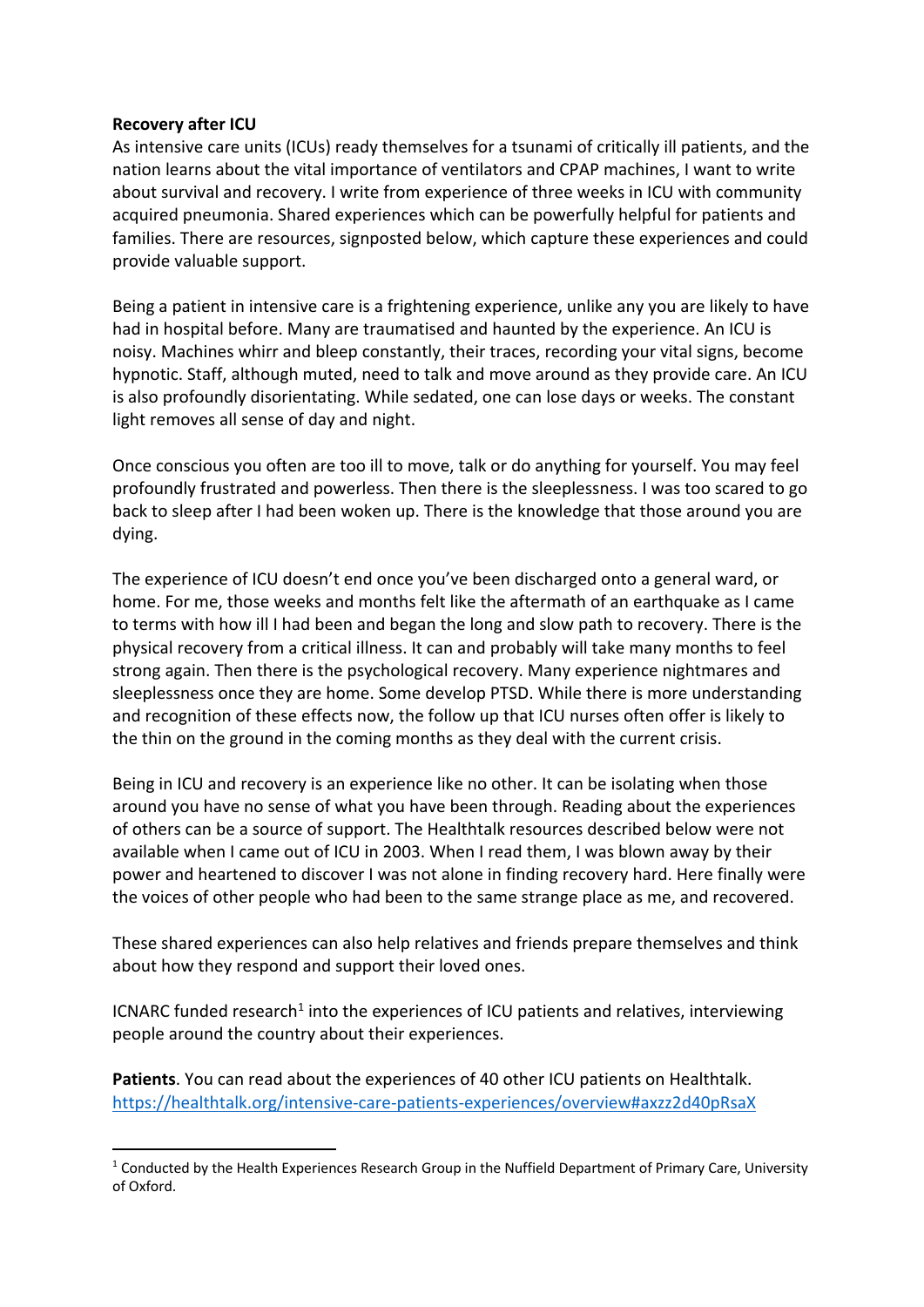## **Recovery after ICU**

As intensive care units (ICUs) ready themselves for a tsunami of critically ill patients, and the nation learns about the vital importance of ventilators and CPAP machines, I want to write about survival and recovery. I write from experience of three weeks in ICU with community acquired pneumonia. Shared experiences which can be powerfully helpful for patients and families. There are resources, signposted below, which capture these experiences and could provide valuable support.

Being a patient in intensive care is a frightening experience, unlike any you are likely to have had in hospital before. Many are traumatised and haunted by the experience. An ICU is noisy. Machines whirr and bleep constantly, their traces, recording your vital signs, become hypnotic. Staff, although muted, need to talk and move around as they provide care. An ICU is also profoundly disorientating. While sedated, one can lose days or weeks. The constant light removes all sense of day and night.

Once conscious you often are too ill to move, talk or do anything for yourself. You may feel profoundly frustrated and powerless. Then there is the sleeplessness. I was too scared to go back to sleep after I had been woken up. There is the knowledge that those around you are dying.

The experience of ICU doesn't end once you've been discharged onto a general ward, or home. For me, those weeks and months felt like the aftermath of an earthquake as I came to terms with how ill I had been and began the long and slow path to recovery. There is the physical recovery from a critical illness. It can and probably will take many months to feel strong again. Then there is the psychological recovery. Many experience nightmares and sleeplessness once they are home. Some develop PTSD. While there is more understanding and recognition of these effects now, the follow up that ICU nurses often offer is likely to the thin on the ground in the coming months as they deal with the current crisis.

Being in ICU and recovery is an experience like no other. It can be isolating when those around you have no sense of what you have been through. Reading about the experiences of others can be a source of support. The Healthtalk resources described below were not available when I came out of ICU in 2003. When I read them, I was blown away by their power and heartened to discover I was not alone in finding recovery hard. Here finally were the voices of other people who had been to the same strange place as me, and recovered.

These shared experiences can also help relatives and friends prepare themselves and think about how they respond and support their loved ones.

ICNARC funded research<sup>1</sup> into the experiences of ICU patients and relatives, interviewing people around the country about their experiences.

**Patients**. You can read about the experiences of 40 other ICU patients on Healthtalk. https://healthtalk.org/intensive-care-patients-experiences/overview#axzz2d40pRsaX

 $1$  Conducted by the Health Experiences Research Group in the Nuffield Department of Primary Care, University of Oxford.